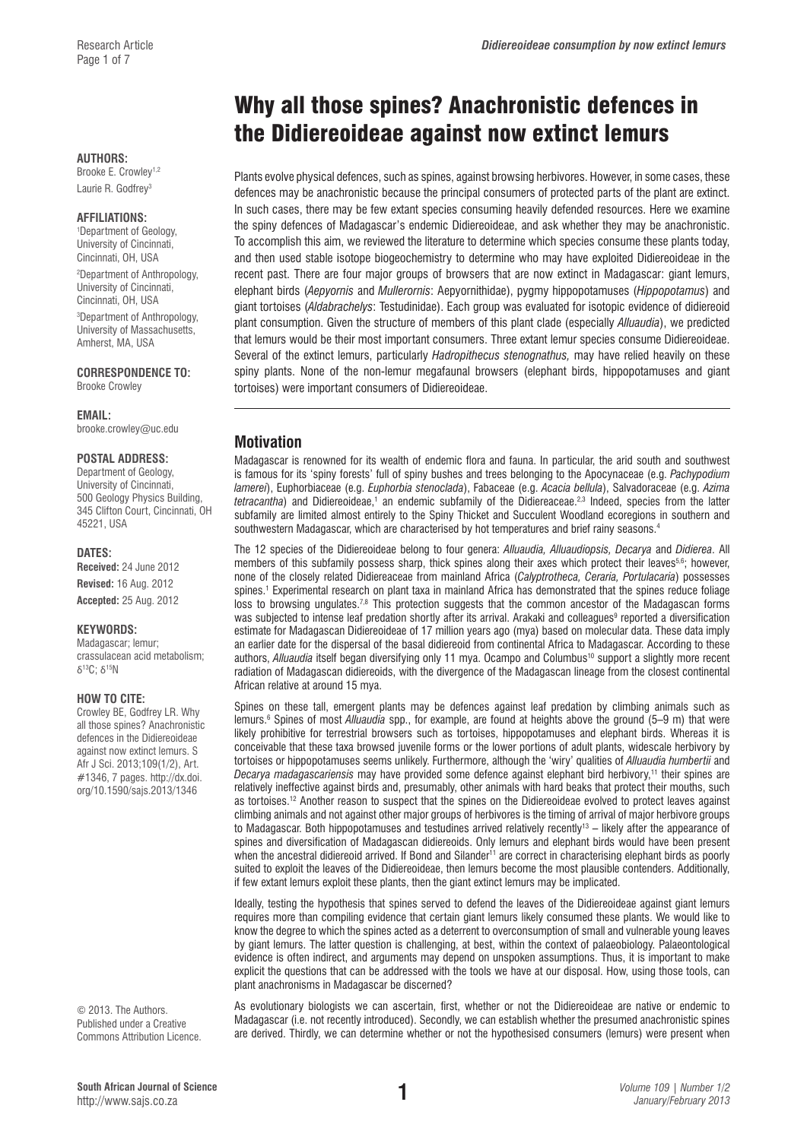#### **AUTHORS:**

Brooke E. Crowley<sup>1,2</sup> Laurie R. Godfrey3

#### **AFFILIATIONS:**

1 Department of Geology, University of Cincinnati, Cincinnati, OH, USA 2 Department of Anthropology, University of Cincinnati, Cincinnati, OH, USA 3 Department of Anthropology, University of Massachusetts, Amherst, MA, USA

**CORRESPONDENCE TO:**  Brooke Crowley

**EMAIL:**  [brooke.crowley@uc.edu](mailto:brooke.crowley@uc.edu)

#### **POSTAL ADDRESS:**

Department of Geology, University of Cincinnati, 500 Geology Physics Building, 345 Clifton Court, Cincinnati, OH 45221, USA

#### **DATES:**

**Received:** 24 June 2012 **Revised:** 16 Aug. 2012

**Accepted:** 25 Aug. 2012

#### **KEYWORDS:**

Madagascar; lemur; crassulacean acid metabolism; δ13C; δ15N

#### **HOW TO CITE:**

Crowley BE, Godfrey LR. Why all those spines? Anachronistic defences in the Didiereoideae against now extinct lemurs. S Afr J Sci. 2013;109(1/2), Art. #1346, 7 pages. [http://dx.doi.](http://dx.doi.org/10.1590/sajs.2013/1346) [org/10.1590/sajs.2013/1346](http://dx.doi.org/10.1590/sajs.2013/1346)

© 2013. The Authors. Published under a Creative Commons Attribution Licence.

# Why all those spines? Anachronistic defences in the Didiereoideae against now extinct lemurs

Plants evolve physical defences, such as spines, against browsing herbivores. However, in some cases, these defences may be anachronistic because the principal consumers of protected parts of the plant are extinct. In such cases, there may be few extant species consuming heavily defended resources. Here we examine the spiny defences of Madagascar's endemic Didiereoideae, and ask whether they may be anachronistic. To accomplish this aim, we reviewed the literature to determine which species consume these plants today, and then used stable isotope biogeochemistry to determine who may have exploited Didiereoideae in the recent past. There are four major groups of browsers that are now extinct in Madagascar: giant lemurs, elephant birds (*Aepyornis* and *Mullerornis*: Aepyornithidae), pygmy hippopotamuses (*Hippopotamus*) and giant tortoises (*Aldabrachelys*: Testudinidae). Each group was evaluated for isotopic evidence of didiereoid plant consumption. Given the structure of members of this plant clade (especially *Alluaudia*), we predicted that lemurs would be their most important consumers. Three extant lemur species consume Didiereoideae. Several of the extinct lemurs, particularly *Hadropithecus stenognathus,* may have relied heavily on these spiny plants. None of the non-lemur megafaunal browsers (elephant birds, hippopotamuses and giant tortoises) were important consumers of Didiereoideae.

## **Motivation**

Madagascar is renowned for its wealth of endemic flora and fauna. In particular, the arid south and southwest is famous for its 'spiny forests' full of spiny bushes and trees belonging to the Apocynaceae (e.g. *Pachypodium lamerei*), Euphorbiaceae (e.g. *Euphorbia stenoclada*), Fabaceae (e.g. *Acacia bellula*), Salvadoraceae (e.g. *Azima tetracantha*) and Didiereoideae,<sup>1</sup> an endemic subfamily of the Didiereaceae.<sup>2,3</sup> Indeed, species from the latter subfamily are limited almost entirely to the Spiny Thicket and Succulent Woodland ecoregions in southern and southwestern Madagascar, which are characterised by hot temperatures and brief rainy seasons.<sup>4</sup>

The 12 species of the Didiereoideae belong to four genera: *Alluaudia, Alluaudiopsis, Decarya* and *Didierea*. All members of this subfamily possess sharp, thick spines along their axes which protect their leaves<sup>5,6</sup>; however, none of the closely related Didiereaceae from mainland Africa (*Calyptrotheca, Ceraria, Portulacaria*) possesses spines.<sup>1</sup> Experimental research on plant taxa in mainland Africa has demonstrated that the spines reduce foliage loss to browsing ungulates.<sup>7,8</sup> This protection suggests that the common ancestor of the Madagascan forms was subjected to intense leaf predation shortly after its arrival. Arakaki and colleagues<sup>9</sup> reported a diversification estimate for Madagascan Didiereoideae of 17 million years ago (mya) based on molecular data. These data imply an earlier date for the dispersal of the basal didiereoid from continental Africa to Madagascar. According to these authors, *Alluaudia* itself began diversifying only 11 mya. Ocampo and Columbus<sup>10</sup> support a slightly more recent radiation of Madagascan didiereoids, with the divergence of the Madagascan lineage from the closest continental African relative at around 15 mya.

Spines on these tall, emergent plants may be defences against leaf predation by climbing animals such as lemurs.6 Spines of most *Alluaudia* spp., for example, are found at heights above the ground (5–9 m) that were likely prohibitive for terrestrial browsers such as tortoises, hippopotamuses and elephant birds. Whereas it is conceivable that these taxa browsed juvenile forms or the lower portions of adult plants, widescale herbivory by tortoises or hippopotamuses seems unlikely. Furthermore, although the 'wiry' qualities of *Alluaudia humbertii* and *Decarya madagascariensis* may have provided some defence against elephant bird herbivory,11 their spines are relatively ineffective against birds and, presumably, other animals with hard beaks that protect their mouths, such as tortoises.<sup>12</sup> Another reason to suspect that the spines on the Didiereoideae evolved to protect leaves against climbing animals and not against other major groups of herbivores is the timing of arrival of major herbivore groups to Madagascar. Both hippopotamuses and testudines arrived relatively recently<sup>13</sup> – likely after the appearance of spines and diversification of Madagascan didiereoids. Only lemurs and elephant birds would have been present when the ancestral didiereoid arrived. If Bond and Silander<sup>11</sup> are correct in characterising elephant birds as poorly suited to exploit the leaves of the Didiereoideae, then lemurs become the most plausible contenders. Additionally, if few extant lemurs exploit these plants, then the giant extinct lemurs may be implicated.

Ideally, testing the hypothesis that spines served to defend the leaves of the Didiereoideae against giant lemurs requires more than compiling evidence that certain giant lemurs likely consumed these plants. We would like to know the degree to which the spines acted as a deterrent to overconsumption of small and vulnerable young leaves by giant lemurs. The latter question is challenging, at best, within the context of palaeobiology. Palaeontological evidence is often indirect, and arguments may depend on unspoken assumptions. Thus, it is important to make explicit the questions that can be addressed with the tools we have at our disposal. How, using those tools, can plant anachronisms in Madagascar be discerned?

As evolutionary biologists we can ascertain, first, whether or not the Didiereoideae are native or endemic to Madagascar (i.e. not recently introduced). Secondly, we can establish whether the presumed anachronistic spines are derived. Thirdly, we can determine whether or not the hypothesised consumers (lemurs) were present when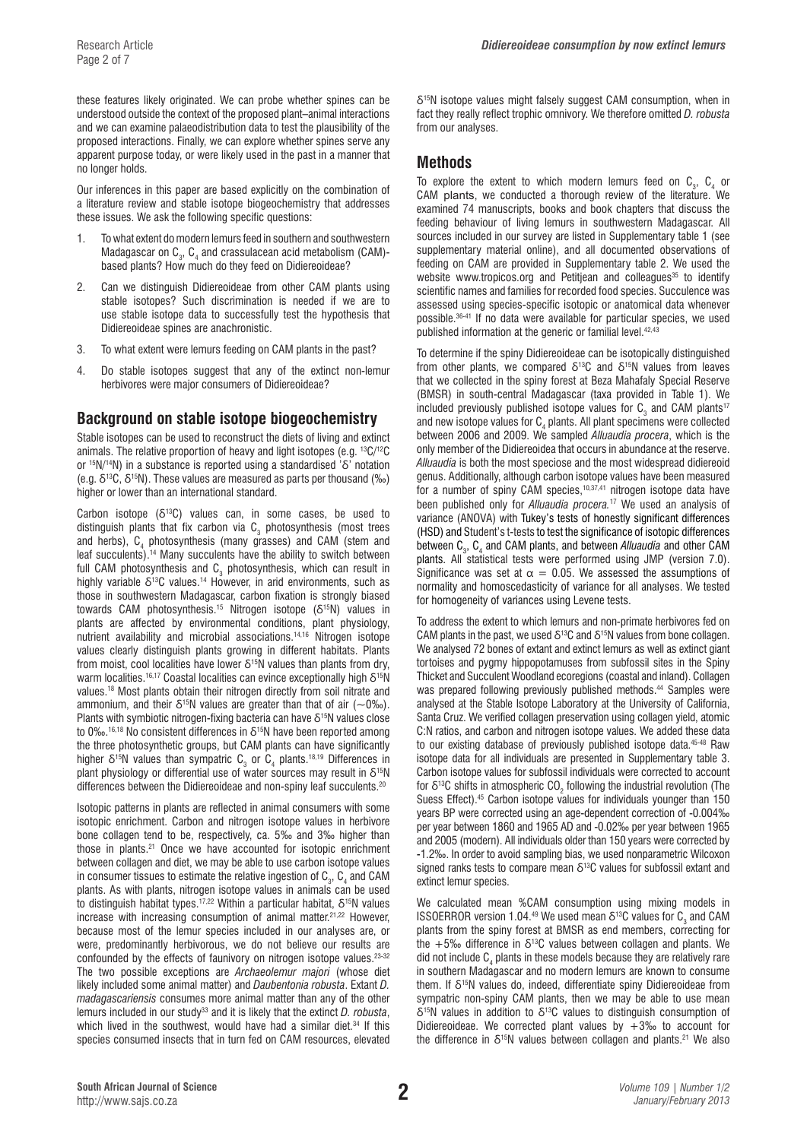these features likely originated. We can probe whether spines can be understood outside the context of the proposed plant–animal interactions and we can examine palaeodistribution data to test the plausibility of the proposed interactions. Finally, we can explore whether spines serve any apparent purpose today, or were likely used in the past in a manner that no longer holds.

Our inferences in this paper are based explicitly on the combination of a literature review and stable isotope biogeochemistry that addresses these issues. We ask the following specific questions:

- 1. To what extent do modern lemurs feed in southern and southwestern Madagascar on  $\textsf{C}_\textsf{3}$ ,  $\textsf{C}_\textsf{4}$  and crassulacean acid metabolism (CAM)based plants? How much do they feed on Didiereoideae?
- 2. Can we distinguish Didiereoideae from other CAM plants using stable isotopes? Such discrimination is needed if we are to use stable isotope data to successfully test the hypothesis that Didiereoideae spines are anachronistic.
- 3. To what extent were lemurs feeding on CAM plants in the past?
- 4. Do stable isotopes suggest that any of the extinct non-lemur herbivores were major consumers of Didiereoideae?

# **Background on stable isotope biogeochemistry**

Stable isotopes can be used to reconstruct the diets of living and extinct animals. The relative proportion of heavy and light isotopes (e.g. 13C/12C or 15N/14N) in a substance is reported using a standardised 'δ' notation (e.g.  $\delta^{13}C$ ,  $\delta^{15}N$ ). These values are measured as parts per thousand (‰) higher or lower than an international standard.

Carbon isotope  $(\delta^{13}C)$  values can, in some cases, be used to distinguish plants that fix carbon via  $\texttt{C}_{\textup{3}}$  photosynthesis (most trees and herbs),  $C_4$  photosynthesis (many grasses) and CAM (stem and leaf succulents).14 Many succulents have the ability to switch between full CAM photosynthesis and  $\textsf{C}_\textsf{3}$  photosynthesis, which can result in highly variable  $\delta^{13}$ C values.<sup>14</sup> However, in arid environments, such as those in southwestern Madagascar, carbon fixation is strongly biased towards CAM photosynthesis.15 Nitrogen isotope (δ15N) values in plants are affected by environmental conditions, plant physiology, nutrient availability and microbial associations.14,16 Nitrogen isotope values clearly distinguish plants growing in different habitats. Plants from moist, cool localities have lower  $\delta^{15}N$  values than plants from dry, warm localities.<sup>16,17</sup> Coastal localities can evince exceptionally high δ<sup>15</sup>N values.18 Most plants obtain their nitrogen directly from soil nitrate and ammonium, and their  $\delta^{15}N$  values are greater than that of air ( $\sim 0\%$ ). Plants with symbiotic nitrogen-fixing bacteria can have  $\delta^{15}N$  values close to 0‰.<sup>16,18</sup> No consistent differences in  $\delta^{15}$ N have been reported among the three photosynthetic groups, but CAM plants can have significantly higher  $\delta^{15}$ N values than sympatric  $\textsf{C}_3$  or  $\textsf{C}_4$  plants.<sup>18,19</sup> Differences in plant physiology or differential use of water sources may result in  $\delta^{15}N$ differences between the Didiereoideae and non-spiny leaf succulents.<sup>20</sup>

Isotopic patterns in plants are reflected in animal consumers with some isotopic enrichment. Carbon and nitrogen isotope values in herbivore bone collagen tend to be, respectively, ca. 5‰ and 3‰ higher than those in plants.21 Once we have accounted for isotopic enrichment between collagen and diet, we may be able to use carbon isotope values in consumer tissues to estimate the relative ingestion of  ${\sf C}_{_3},$   ${\sf C}_{_4}$  and CAM plants. As with plants, nitrogen isotope values in animals can be used to distinguish habitat types.17,22 Within a particular habitat, δ15N values increase with increasing consumption of animal matter.<sup>21,22</sup> However, because most of the lemur species included in our analyses are, or were, predominantly herbivorous, we do not believe our results are confounded by the effects of faunivory on nitrogen isotope values.23-32 The two possible exceptions are *Archaeolemur majori* (whose diet likely included some animal matter) and *Daubentonia robusta*. Extant *D. madagascariensis* consumes more animal matter than any of the other lemurs included in our study<sup>33</sup> and it is likely that the extinct *D. robusta*, which lived in the southwest, would have had a similar diet.<sup>34</sup> If this species consumed insects that in turn fed on CAM resources, elevated

δ15N isotope values might falsely suggest CAM consumption, when in fact they really reflect trophic omnivory. We therefore omitted *D. robusta*  from our analyses.

## **Methods**

To explore the extent to which modern lemurs feed on  $C_3$ ,  $C_4$  or CAM plants, we conducted a thorough review of the literature. We examined 74 manuscripts, books and book chapters that discuss the feeding behaviour of living lemurs in southwestern Madagascar. All sources included in our survey are listed in Supplementary table 1 (see supplementary material online), and all documented observations of feeding on CAM are provided in Supplementary table 2. We used the website www.tropicos.org and Petitiean and colleagues<sup>35</sup> to identify scientific names and families for recorded food species. Succulence was assessed using species-specific isotopic or anatomical data whenever possible.36-41 If no data were available for particular species, we used published information at the generic or familial level.<sup>42,43</sup>

To determine if the spiny Didiereoideae can be isotopically distinguished from other plants, we compared  $\delta^{13}$ C and  $\delta^{15}$ N values from leaves that we collected in the spiny forest at Beza Mahafaly Special Reserve (BMSR) in south-central Madagascar (taxa provided in Table 1). We included previously published isotope values for  $\textsf{C}_3$  and CAM plants<sup>17</sup> and new isotope values for  $C_4$  plants. All plant specimens were collected between 2006 and 2009. We sampled *Alluaudia procera*, which is the only member of the Didiereoidea that occurs in abundance at the reserve. *Alluaudia* is both the most speciose and the most widespread didiereoid genus. Additionally, although carbon isotope values have been measured for a number of spiny CAM species,<sup>10,37,41</sup> nitrogen isotope data have been published only for *Alluaudia procera.*<sup>17</sup> We used an analysis of variance (ANOVA) with Tukey's tests of honestly significant differences (HSD) and Student's t-tests to test the significance of isotopic differences between C<sub>3</sub>, C<sub>4</sub> and CAM plants, and between *Alluaudia* and other CAM plants. All statistical tests were performed using JMP (version 7.0). Significance was set at  $\alpha = 0.05$ . We assessed the assumptions of normality and homoscedasticity of variance for all analyses. We tested for homogeneity of variances using Levene tests.

To address the extent to which lemurs and non-primate herbivores fed on CAM plants in the past, we used  $\delta^{13}$ C and  $\delta^{15}$ N values from bone collagen. We analysed 72 bones of extant and extinct lemurs as well as extinct giant tortoises and pygmy hippopotamuses from subfossil sites in the Spiny Thicket and Succulent Woodland ecoregions (coastal and inland). Collagen was prepared following previously published methods.<sup>44</sup> Samples were analysed at the Stable Isotope Laboratory at the University of California, Santa Cruz. We verified collagen preservation using collagen yield, atomic C:N ratios, and carbon and nitrogen isotope values. We added these data to our existing database of previously published isotope data.45-48 Raw isotope data for all individuals are presented in Supplementary table 3. Carbon isotope values for subfossil individuals were corrected to account for  $\delta^{13}$ C shifts in atmospheric CO<sub>2</sub> following the industrial revolution (The Suess Effect).45 Carbon isotope values for individuals younger than 150 years BP were corrected using an age-dependent correction of -0.004‰ per year between 1860 and 1965 AD and -0.02‰ per year between 1965 and 2005 (modern). All individuals older than 150 years were corrected by -1.2‰. In order to avoid sampling bias, we used nonparametric Wilcoxon signed ranks tests to compare mean  $\delta^{13}$ C values for subfossil extant and extinct lemur species.

We calculated mean %CAM consumption using mixing models in ISSOERROR version 1.04.49 We used mean  $\delta^{13}$ C values for C<sub>3</sub> and CAM plants from the spiny forest at BMSR as end members, correcting for the +5‰ difference in  $\delta^{13}$ C values between collagen and plants. We did not include  $C_4$  plants in these models because they are relatively rare in southern Madagascar and no modern lemurs are known to consume them. If δ<sup>15</sup>N values do, indeed, differentiate spiny Didiereoideae from sympatric non-spiny CAM plants, then we may be able to use mean  $\delta^{15}$ N values in addition to  $\delta^{13}$ C values to distinguish consumption of Didiereoideae. We corrected plant values by  $+3\%$  to account for the difference in  $\delta^{15}N$  values between collagen and plants.<sup>21</sup> We also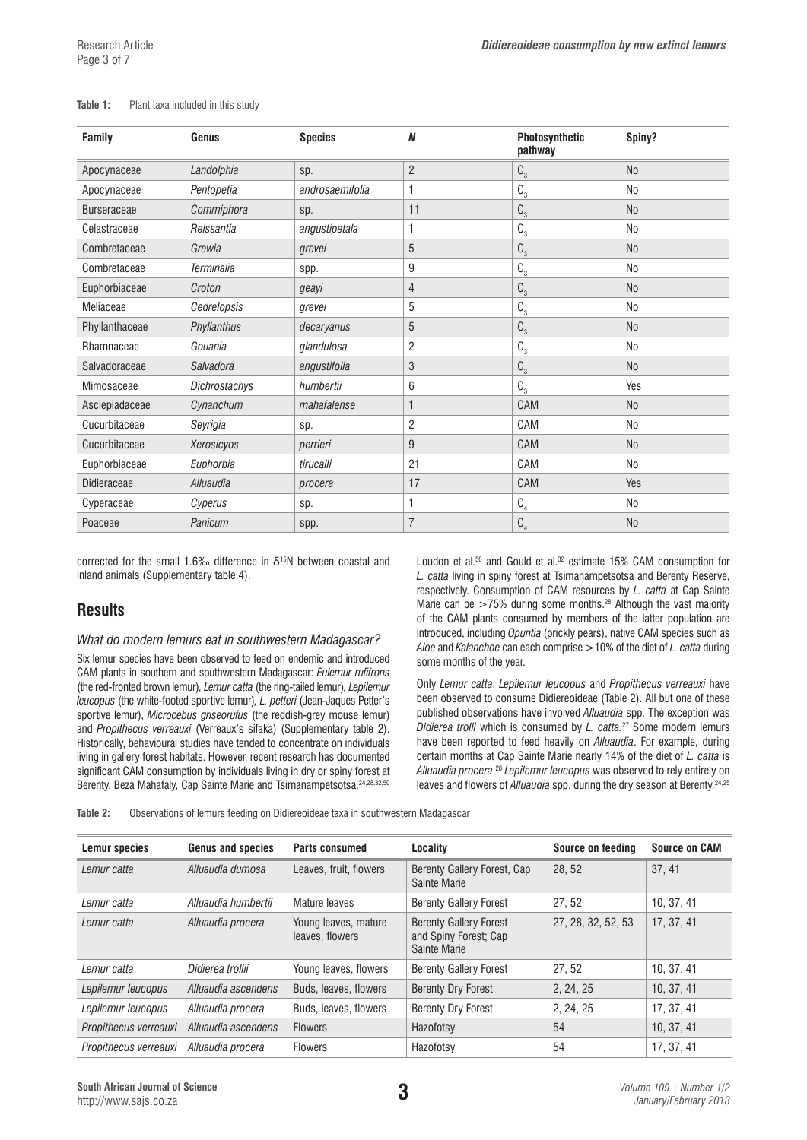| <b>Family</b>      | Genus             | <b>Species</b>  | N              | Photosynthetic<br>pathway | Spiny?         |
|--------------------|-------------------|-----------------|----------------|---------------------------|----------------|
| Apocynaceae        | Landolphia        | sp.             | $\overline{2}$ | C <sub>3</sub>            | <b>No</b>      |
| Apocynaceae        | Pentopetia        | androsaemifolia | 1              | $C_{3}$                   | <b>No</b>      |
| <b>Burseraceae</b> | Commiphora        | sp.             | 11             | $C_{3}$                   | No             |
| Celastraceae       | Reissantia        | angustipetala   | 1              | $C_{3}$                   | N <sub>0</sub> |
| Combretaceae       | Grewia            | grevei          | 5              | $C_{3}$                   | N <sub>0</sub> |
| Combretaceae       | <b>Terminalia</b> | spp.            | 9              | $\mathbb{C}_3$            | N <sub>0</sub> |
| Euphorbiaceae      | Croton            | geayi           | $\overline{4}$ | $\mathsf{C}_\mathrm{3}$   | N <sub>o</sub> |
| Meliaceae          | Cedrelopsis       | grevei          | 5              | $C_{3}$                   | <b>No</b>      |
| Phyllanthaceae     | Phyllanthus       | decaryanus      | 5              | $C_{3}$                   | <b>No</b>      |
| Rhamnaceae         | Gouania           | glandulosa      | $\overline{c}$ | $C_{3}$                   | <b>No</b>      |
| Salvadoraceae      | Salvadora         | angustifolia    | 3              | $C_3$                     | <b>No</b>      |
| Mimosaceae         | Dichrostachys     | humbertii       | 6              | $C_{3}$                   | Yes            |
| Asclepiadaceae     | Cynanchum         | mahafalense     | 1              | CAM                       | <b>No</b>      |
| Cucurbitaceae      | Seyrigia          | sp.             | $\overline{c}$ | CAM                       | <b>No</b>      |
| Cucurbitaceae      | Xerosicyos        | perrieri        | 9              | CAM                       | <b>No</b>      |
| Euphorbiaceae      | Euphorbia         | tirucalli       | 21             | CAM                       | <b>No</b>      |
| Didieraceae        | Alluaudia         | procera         | 17             | CAM                       | Yes            |
| Cyperaceae         | Cyperus           | sp.             | 1              | $\mathtt{C}_4$            | <b>No</b>      |
| Poaceae            | Panicum           | spp.            | 7              | C <sub>4</sub>            | <b>No</b>      |

#### **Table 1:** Plant taxa included in this study

corrected for the small 1.6‰ difference in  $\delta^{15}N$  between coastal and inland animals (Supplementary table 4).

# **Results**

#### *What do modern lemurs eat in southwestern Madagascar?*

Six lemur species have been observed to feed on endemic and introduced CAM plants in southern and southwestern Madagascar: *Eulemur rufifrons* (the red-fronted brown lemur)*, Lemur catta* (the ring-tailed lemur)*, Lepilemur leucopus* (the white-footed sportive lemur)*, L. petteri* (Jean-Jaques Petter's sportive lemur), *Microcebus griseorufus* (the reddish-grey mouse lemur) and *Propithecus verreauxi* (Verreaux's sifaka) (Supplementary table 2). Historically, behavioural studies have tended to concentrate on individuals living in gallery forest habitats. However, recent research has documented significant CAM consumption by individuals living in dry or spiny forest at Berenty, Beza Mahafaly, Cap Sainte Marie and Tsimanampetsotsa.24,28,32,50

Loudon et al.<sup>50</sup> and Gould et al.<sup>32</sup> estimate 15% CAM consumption for *L. catta* living in spiny forest at Tsimanampetsotsa and Berenty Reserve, respectively. Consumption of CAM resources by *L. catta* at Cap Sainte Marie can be >75% during some months.<sup>28</sup> Although the vast majority of the CAM plants consumed by members of the latter population are introduced, including *Opuntia* (prickly pears), native CAM species such as *Aloe* and *Kalanchoe* can each comprise >10% of the diet of *L. catta* during some months of the year*.*

Only *Lemur catta*, *Lepilemur leucopus* and *Propithecus verreauxi* have been observed to consume Didiereoideae (Table 2). All but one of these published observations have involved *Alluaudia* spp. The exception was *Didierea trolli* which is consumed by *L. catta.*27 Some modern lemurs have been reported to feed heavily on *Alluaudia*. For example, during certain months at Cap Sainte Marie nearly 14% of the diet of *L. catta* is *Alluaudia procera*. <sup>28</sup> *Lepilemur leucopus* was observed to rely entirely on leaves and flowers of *Alluaudia* spp. during the dry season at Berenty.24,25

**Table 2:** Observations of lemurs feeding on Didiereoideae taxa in southwestern Madagascar

| <b>Lemur species</b>  | <b>Genus and species</b> | <b>Parts consumed</b>                   | Locality                                                               | Source on feeding  | <b>Source on CAM</b> |
|-----------------------|--------------------------|-----------------------------------------|------------------------------------------------------------------------|--------------------|----------------------|
| Lemur catta           | Alluaudia dumosa         | Leaves, fruit, flowers                  | Berenty Gallery Forest, Cap<br>Sainte Marie                            | 28, 52             | 37.41                |
| Lemur catta           | Alluaudia humbertii      | Mature leaves                           | <b>Berenty Gallery Forest</b>                                          | 27, 52             | 10, 37, 41           |
| Lemur catta           | Alluaudia procera        | Young leaves, mature<br>leaves, flowers | <b>Berenty Gallery Forest</b><br>and Spiny Forest; Cap<br>Sainte Marie | 27, 28, 32, 52, 53 | 17, 37, 41           |
| Lemur catta           | Didierea trollii         | Young leaves, flowers                   | <b>Berenty Gallery Forest</b>                                          | 27.52              | 10.37.41             |
| Lepilemur leucopus    | Alluaudia ascendens      | Buds, leaves, flowers                   | <b>Berenty Dry Forest</b>                                              | 2, 24, 25          | 10, 37, 41           |
| Lepilemur leucopus    | Alluaudia procera        | Buds, leaves, flowers                   | <b>Berenty Dry Forest</b>                                              | 2, 24, 25          | 17, 37, 41           |
| Propithecus verreauxi | Alluaudia ascendens      | <b>Flowers</b>                          | Hazofotsy                                                              | 54                 | 10, 37, 41           |
| Propithecus verreauxi | Alluaudia procera        | <b>Flowers</b>                          | Hazofotsy                                                              | 54                 | 17.37.41             |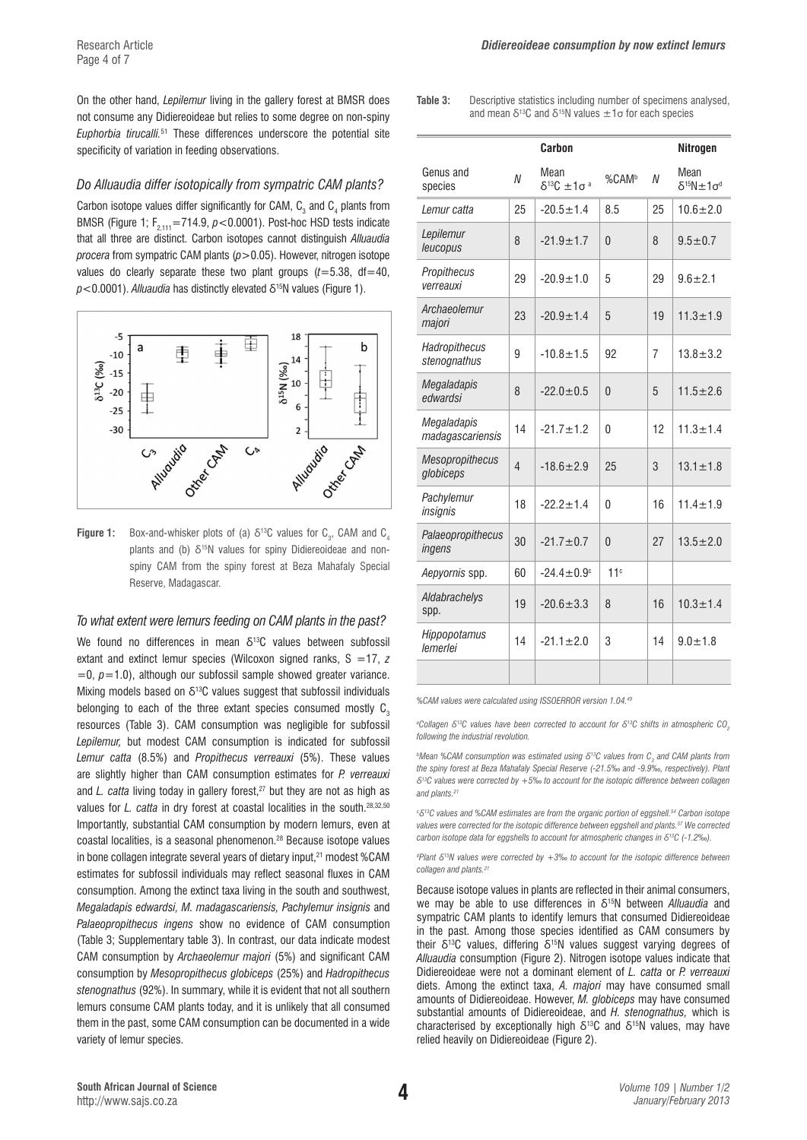On the other hand, *Lepilemur* living in the gallery forest at BMSR does not consume any Didiereoideae but relies to some degree on non-spiny *Euphorbia tirucalli.*51 These differences underscore the potential site specificity of variation in feeding observations.

### *Do Alluaudia differ isotopically from sympatric CAM plants?*

Carbon isotope values differ significantly for CAM,  $\textsf{C}_\textsf{3}$  and  $\textsf{C}_\textsf{4}$  plants from BMSR (Figure 1; F<sub>2,111</sub>=714.9,  $p$ <0.0001). Post-hoc HSD tests indicate that all three are distinct. Carbon isotopes cannot distinguish *Alluaudia procera* from sympatric CAM plants (*p*>0.05). However, nitrogen isotope values do clearly separate these two plant groups  $(t=5.38, dt=40,$  $p$ <0.0001). *Alluaudia* has distinctly elevated δ<sup>15</sup>N values (Figure 1).



**Figure 1:** Box-and-whisker plots of (a)  $\delta^{13}$ C values for C<sub>3</sub>, CAM and C<sub>4</sub> plants and (b) δ<sup>15</sup>N values for spiny Didiereoideae and nonspiny CAM from the spiny forest at Beza Mahafaly Special Reserve, Madagascar.

# *To what extent were lemurs feeding on CAM plants in the past?*

We found no differences in mean  $\delta^{13}$ C values between subfossil extant and extinct lemur species (Wilcoxon signed ranks, S =17, *z*  $=0$ ,  $p=1.0$ ), although our subfossil sample showed greater variance. Mixing models based on  $\delta^{13}$ C values suggest that subfossil individuals belonging to each of the three extant species consumed mostly  $C_3$ resources (Table 3). CAM consumption was negligible for subfossil *Lepilemur,* but modest CAM consumption is indicated for subfossil *Lemur catta* (8.5%) and *Propithecus verreauxi* (5%). These values are slightly higher than CAM consumption estimates for *P. verreauxi*  and *L. catta* living today in gallery forest,<sup>27</sup> but they are not as high as values for *L. catta* in dry forest at coastal localities in the south.<sup>28,32,50</sup> Importantly, substantial CAM consumption by modern lemurs, even at coastal localities, is a seasonal phenomenon.28 Because isotope values in bone collagen integrate several years of dietary input, $21$  modest %CAM estimates for subfossil individuals may reflect seasonal fluxes in CAM consumption. Among the extinct taxa living in the south and southwest, *Megaladapis edwardsi, M. madagascariensis, Pachylemur insignis* and *Palaeopropithecus ingens* show no evidence of CAM consumption (Table 3; Supplementary table 3). In contrast, our data indicate modest CAM consumption by *Archaeolemur majori* (5%) and significant CAM consumption by *Mesopropithecus globiceps* (25%) and *Hadropithecus stenognathus* (92%). In summary, while it is evident that not all southern lemurs consume CAM plants today, and it is unlikely that all consumed them in the past, some CAM consumption can be documented in a wide variety of lemur species.

**Table 3:** Descriptive statistics including number of specimens analysed, and mean  $\delta^{13}$ C and  $\delta^{15}$ N values  $\pm 1\sigma$  for each species

|                                 |                | Carbon                               |                   |    | Nitrogen                             |
|---------------------------------|----------------|--------------------------------------|-------------------|----|--------------------------------------|
| Genus and<br>species            | N              | Mean<br>$\delta^{13}C \pm 1\sigma^a$ | %CAM <sup>b</sup> | N  | Mean<br>$\delta^{15}N \pm 1\sigma^d$ |
| Lemur catta                     | 25             | $-20.5 \pm 1.4$                      | 8.5               | 25 | $10.6 + 2.0$                         |
| Lepilemur<br>leucopus           | 8              | $-21.9 + 1.7$                        | $\Omega$          | 8  | $9.5 \pm 0.7$                        |
| Propithecus<br>verreauxi        | 29             | $-20.9 + 1.0$                        | 5                 | 29 | $9.6 + 2.1$                          |
| Archaeolemur<br>majori          | 23             | $-20.9 \pm 1.4$                      | 5                 | 19 | $11.3 \pm 1.9$                       |
| Hadropithecus<br>stenognathus   | 9              | $-10.8 \pm 1.5$                      | 92                | 7  | $13.8 \pm 3.2$                       |
| Megaladapis<br>edwardsi         | 8              | $-22.0 \pm 0.5$                      | $\Omega$          | 5  | $11.5 \pm 2.6$                       |
| Megaladapis<br>madagascariensis | 14             | $-21.7 \pm 1.2$                      | $\mathbf{0}$      | 12 | $11.3 + 1.4$                         |
| Mesopropithecus<br>globiceps    | $\overline{4}$ | $-18.6 + 2.9$                        | 25                | 3  | $13.1 \pm 1.8$                       |
| Pachylemur<br>insignis          | 18             | $-22.2 \pm 1.4$                      | $\Omega$          | 16 | $11.4 + 1.9$                         |
| Palaeopropithecus<br>ingens     | 30             | $-21.7 \pm 0.7$                      | $\Omega$          | 27 | $13.5 + 2.0$                         |
| Aepyornis spp.                  | 60             | $-24.4 \pm 0.9$ <sup>c</sup>         | 11c               |    |                                      |
| Aldabrachelys<br>spp.           | 19             | $-20.6 \pm 3.3$                      | 8                 | 16 | $10.3 \pm 1.4$                       |
| Hippopotamus<br>lemerlei        | 14             | $-21.1 \pm 2.0$                      | 3                 | 14 | $9.0 + 1.8$                          |
|                                 |                |                                      |                   |    |                                      |

*%CAM values were calculated using ISSOERROR version 1.04.49*

*a Collagen δ13C values have been corrected to account for δ13C shifts in atmospheric CO2 following the industrial revolution.*

*bMean %CAM consumption was estimated using δ<sup>13</sup>C values from C<sub>3</sub> and CAM plants from the spiny forest at Beza Mahafaly Special Reserve (-21.5‰ and -9.9‰, respectively). Plant δ13C values were corrected by +5‰ to account for the isotopic difference between collagen and plants.21*

<sup>c</sup> δ<sup>13</sup>C values and %CAM estimates are from the organic portion of eggshell.<sup>54</sup> Carbon isotope *values were corrected for the isotopic difference between eggshell and plants.57 We corrected carbon isotope data for eggshells to account for atmospheric changes in δ13C (-1.2‰).* 

*d Plant δ15N values were corrected by +3‰ to account for the isotopic difference between collagen and plants.21*

Because isotope values in plants are reflected in their animal consumers, we may be able to use differences in δ15N between *Alluaudia* and sympatric CAM plants to identify lemurs that consumed Didiereoideae in the past. Among those species identified as CAM consumers by their δ<sup>13</sup>C values, differing δ<sup>15</sup>N values suggest varying degrees of *Alluaudia* consumption (Figure 2). Nitrogen isotope values indicate that Didiereoideae were not a dominant element of *L. catta* or *P. verreauxi* diets. Among the extinct taxa, *A. majori* may have consumed small amounts of Didiereoideae. However, *M. globiceps* may have consumed substantial amounts of Didiereoideae, and *H. stenognathus,* which is characterised by exceptionally high  $\delta^{13}C$  and  $\delta^{15}N$  values, may have relied heavily on Didiereoideae (Figure 2).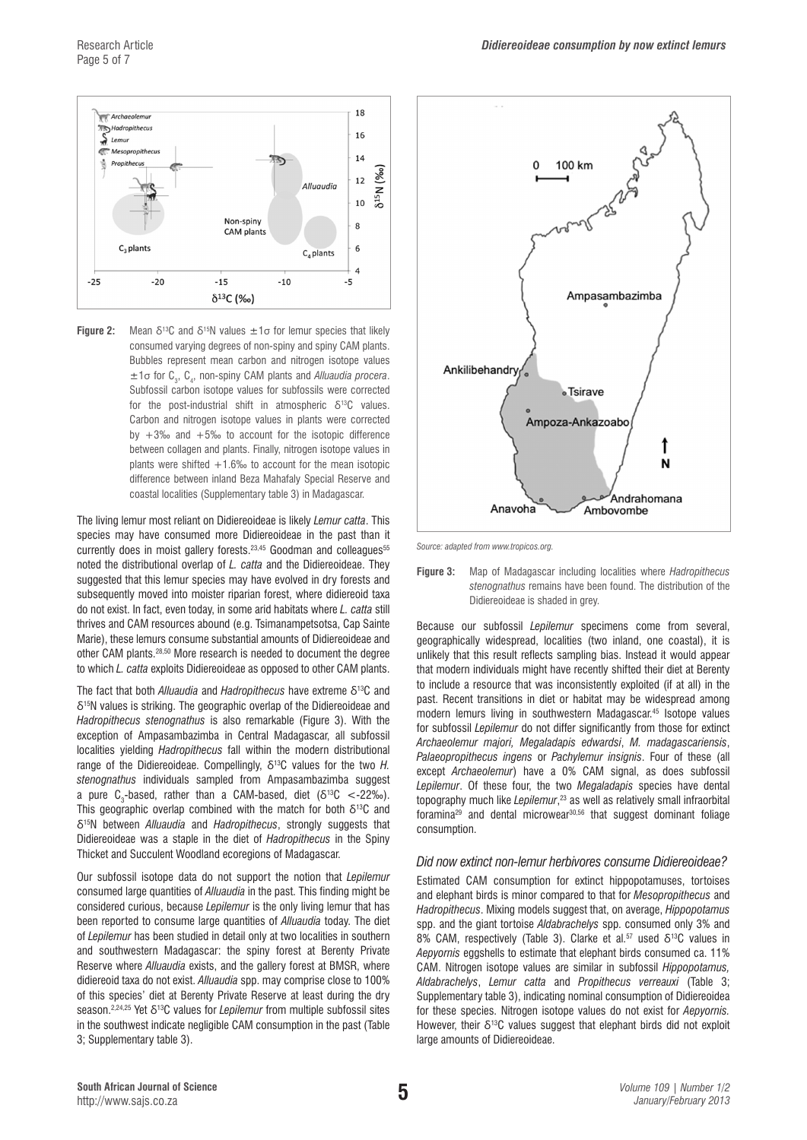

**Figure 2:** Mean  $\delta^{13}$ C and  $\delta^{15}$ N values  $\pm 1\sigma$  for lemur species that likely consumed varying degrees of non-spiny and spiny CAM plants. Bubbles represent mean carbon and nitrogen isotope values  $\pm 1\sigma$  for  $C_3$ ,  $C_4$ , non-spiny CAM plants and *Alluaudia procera*. Subfossil carbon isotope values for subfossils were corrected for the post-industrial shift in atmospheric  $\delta^{13}C$  values. Carbon and nitrogen isotope values in plants were corrected by  $+3\%$  and  $+5\%$  to account for the isotopic difference between collagen and plants. Finally, nitrogen isotope values in plants were shifted  $+1.6%$  to account for the mean isotopic difference between inland Beza Mahafaly Special Reserve and coastal localities (Supplementary table 3) in Madagascar.

The living lemur most reliant on Didiereoideae is likely *Lemur catta*. This species may have consumed more Didiereoideae in the past than it currently does in moist gallery forests.<sup>23,45</sup> Goodman and colleagues<sup>55</sup> noted the distributional overlap of *L. catta* and the Didiereoideae. They suggested that this lemur species may have evolved in dry forests and subsequently moved into moister riparian forest, where didiereoid taxa do not exist. In fact, even today, in some arid habitats where *L. catta* still thrives and CAM resources abound (e.g. Tsimanampetsotsa, Cap Sainte Marie), these lemurs consume substantial amounts of Didiereoideae and other CAM plants.28,50 More research is needed to document the degree to which *L. catta* exploits Didiereoideae as opposed to other CAM plants.

The fact that both *Alluaudia* and *Hadropithecus* have extreme δ13C and δ15N values is striking. The geographic overlap of the Didiereoideae and *Hadropithecus stenognathus* is also remarkable (Figure 3). With the exception of Ampasambazimba in Central Madagascar, all subfossil localities yielding *Hadropithecus* fall within the modern distributional range of the Didiereoideae. Compellingly, δ13C values for the two *H. stenognathus* individuals sampled from Ampasambazimba suggest a pure C<sub>3</sub>-based, rather than a CAM-based, diet (δ<sup>13</sup>C <-22‰). This geographic overlap combined with the match for both  $\delta^{13}C$  and δ15N between *Alluaudia* and *Hadropithecus*, strongly suggests that Didiereoideae was a staple in the diet of *Hadropithecus* in the Spiny Thicket and Succulent Woodland ecoregions of Madagascar.

Our subfossil isotope data do not support the notion that *Lepilemur* consumed large quantities of *Alluaudia* in the past. This finding might be considered curious, because *Lepilemur* is the only living lemur that has been reported to consume large quantities of *Alluaudia* today. The diet of *Lepilemur* has been studied in detail only at two localities in southern and southwestern Madagascar: the spiny forest at Berenty Private Reserve where *Alluaudia* exists, and the gallery forest at BMSR, where didiereoid taxa do not exist. *Alluaudia* spp. may comprise close to 100% of this species' diet at Berenty Private Reserve at least during the dry season.2,24,25 Yet δ13C values for *Lepilemur* from multiple subfossil sites in the southwest indicate negligible CAM consumption in the past (Table 3; Supplementary table 3).



*Source: adapted from www.tropicos.org.* 

**Figure 3:** Map of Madagascar including localities where *Hadropithecus stenognathus* remains have been found. The distribution of the Didiereoideae is shaded in grey.

Because our subfossil *Lepilemur* specimens come from several, geographically widespread, localities (two inland, one coastal), it is unlikely that this result reflects sampling bias. Instead it would appear that modern individuals might have recently shifted their diet at Berenty to include a resource that was inconsistently exploited (if at all) in the past. Recent transitions in diet or habitat may be widespread among modern lemurs living in southwestern Madagascar.45 Isotope values for subfossil *Lepilemur* do not differ significantly from those for extinct *Archaeolemur majori, Megaladapis edwardsi*, *M. madagascariensis*, *Palaeopropithecus ingens* or *Pachylemur insignis*. Four of these (all except *Archaeolemur*) have a 0% CAM signal, as does subfossil *Lepilemur*. Of these four, the two *Megaladapis* species have dental topography much like *Lepilemur*, 23 as well as relatively small infraorbital foramina29 and dental microwear30,56 that suggest dominant foliage consumption.

#### *Did now extinct non-lemur herbivores consume Didiereoideae?*

Estimated CAM consumption for extinct hippopotamuses, tortoises and elephant birds is minor compared to that for *Mesopropithecus* and *Hadropithecus*. Mixing models suggest that, on average, *Hippopotamus* spp. and the giant tortoise *Aldabrachelys* spp. consumed only 3% and 8% CAM, respectively (Table 3). Clarke et al.57 used δ13C values in *Aepyornis* eggshells to estimate that elephant birds consumed ca. 11% CAM. Nitrogen isotope values are similar in subfossil *Hippopotamus, Aldabrachelys*, *Lemur catta* and *Propithecus verreauxi* (Table 3; Supplementary table 3), indicating nominal consumption of Didiereoidea for these species. Nitrogen isotope values do not exist for *Aepyornis.* However, their  $\delta^{13}$ C values suggest that elephant birds did not exploit large amounts of Didiereoideae.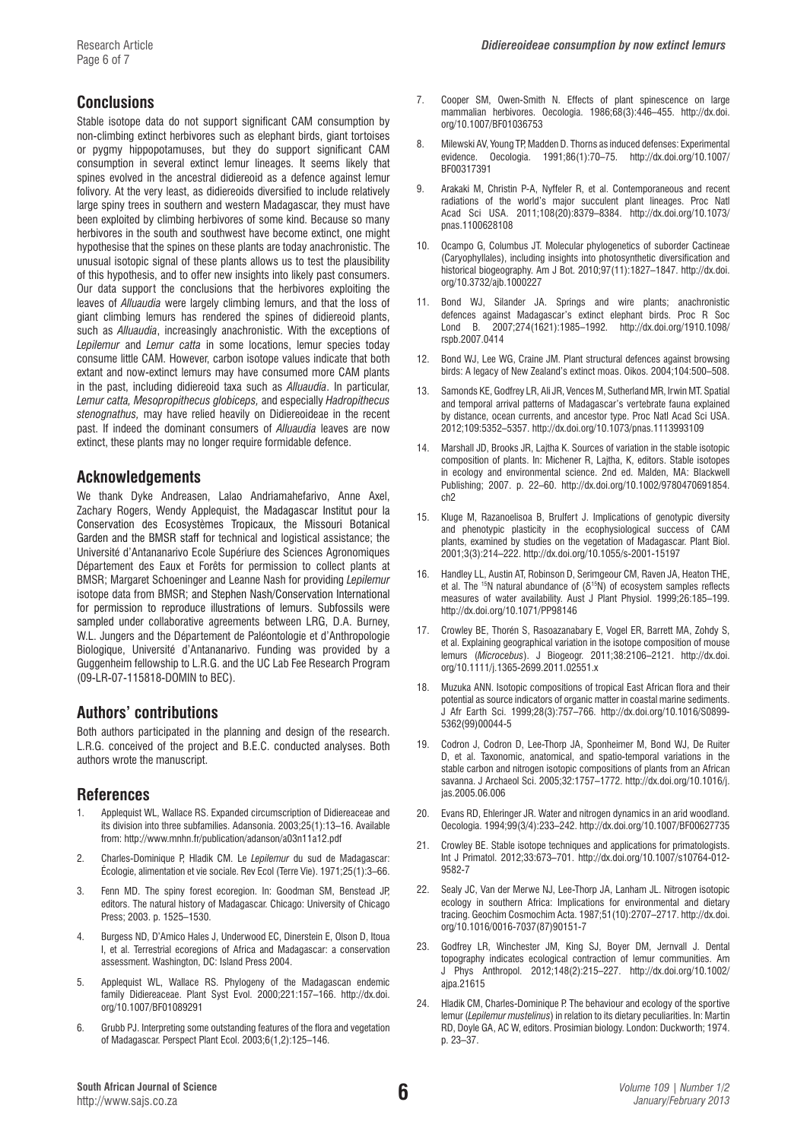# **Conclusions**

Stable isotope data do not support significant CAM consumption by non-climbing extinct herbivores such as elephant birds, giant tortoises or pygmy hippopotamuses, but they do support significant CAM consumption in several extinct lemur lineages. It seems likely that spines evolved in the ancestral didiereoid as a defence against lemur folivory. At the very least, as didiereoids diversified to include relatively large spiny trees in southern and western Madagascar, they must have been exploited by climbing herbivores of some kind. Because so many herbivores in the south and southwest have become extinct, one might hypothesise that the spines on these plants are today anachronistic. The unusual isotopic signal of these plants allows us to test the plausibility of this hypothesis, and to offer new insights into likely past consumers. Our data support the conclusions that the herbivores exploiting the leaves of *Alluaudia* were largely climbing lemurs, and that the loss of giant climbing lemurs has rendered the spines of didiereoid plants, such as *Alluaudia*, increasingly anachronistic. With the exceptions of *Lepilemur* and *Lemur catta* in some locations, lemur species today consume little CAM. However, carbon isotope values indicate that both extant and now-extinct lemurs may have consumed more CAM plants in the past, including didiereoid taxa such as *Alluaudia*. In particular, *Lemur catta, Mesopropithecus globiceps,* and especially *Hadropithecus stenognathus,* may have relied heavily on Didiereoideae in the recent past. If indeed the dominant consumers of *Alluaudia* leaves are now extinct, these plants may no longer require formidable defence.

# **Acknowledgements**

We thank Dyke Andreasen, Lalao Andriamahefarivo, Anne Axel, Zachary Rogers, Wendy Applequist, the Madagascar Institut pour la Conservation des Ecosystèmes Tropicaux, the Missouri Botanical Garden and the BMSR staff for technical and logistical assistance; the Université d'Antananarivo Ecole Supériure des Sciences Agronomiques Département des Eaux et Forêts for permission to collect plants at BMSR; Margaret Schoeninger and Leanne Nash for providing *Lepilemur* isotope data from BMSR; and Stephen Nash/Conservation International for permission to reproduce illustrations of lemurs. Subfossils were sampled under collaborative agreements between LRG, D.A. Burney, W.L. Jungers and the Département de Paléontologie et d'Anthropologie Biologique, Université d'Antananarivo. Funding was provided by a Guggenheim fellowship to L.R.G. and the UC Lab Fee Research Program (09-LR-07-115818-DOMIN to BEC).

## **Authors' contributions**

Both authors participated in the planning and design of the research. L.R.G. conceived of the project and B.E.C. conducted analyses. Both authors wrote the manuscript.

# **References**

- 1. Applequist WL, Wallace RS. Expanded circumscription of Didiereaceae and its division into three subfamilies. Adansonia. 2003;25(1):13–16. Available from: http://www.mnhn.fr/publication/adanson/a03n11a12.pdf
- 2. Charles-Dominique P, Hladik CM. Le *Lepilemur* du sud de Madagascar: Écologie, alimentation et vie sociale. Rev Ecol (Terre Vie). 1971;25(1):3–66.
- 3. Fenn MD. The spiny forest ecoregion. In: Goodman SM, Benstead JP, editors. The natural history of Madagascar. Chicago: University of Chicago Press; 2003. p. 1525–1530.
- 4. Burgess ND, D'Amico Hales J, Underwood EC, Dinerstein E, Olson D, Itoua I, et al. Terrestrial ecoregions of Africa and Madagascar: a conservation assessment. Washington, DC: Island Press 2004.
- 5. Applequist WL, Wallace RS. Phylogeny of the Madagascan endemic family Didiereaceae. Plant Syst Evol. 2000;221:157–166. [http://dx.doi.](http://dx.doi.org/10.1007/BF01089291) [org/10.1007/BF01089291](http://dx.doi.org/10.1007/BF01089291)
- 6. Grubb PJ. Interpreting some outstanding features of the flora and vegetation of Madagascar. Perspect Plant Ecol. 2003;6(1,2):125–146.
- 7. Cooper SM, Owen-Smith N. Effects of plant spinescence on large mammalian herbivores. Oecologia. 1986;68(3):446–455. [http://dx.doi.](http://dx.doi.org/10.1007/BF01036753%20%0D) [org/10.1007/BF01036753](http://dx.doi.org/10.1007/BF01036753%20%0D)
- 8. Milewski AV, Young TP, Madden D. Thorns as induced defenses: Experimental evidence. Oecologia. 1991;86(1):70–75. [http://dx.doi.org/10.1007/](http://dx.doi.org/10.1007/BF00317391) [BF00317391](http://dx.doi.org/10.1007/BF00317391)
- 9. Arakaki M, Christin P-A, Nyffeler R, et al. Contemporaneous and recent radiations of the world's major succulent plant lineages. Proc Natl Acad Sci USA. 2011;108(20):8379–8384. [http://dx.doi.org/10.1073/](http://dx.doi.org/10.1073/pnas.1100628108) [pnas.1100628108](http://dx.doi.org/10.1073/pnas.1100628108)
- 10. Ocampo G, Columbus JT. Molecular phylogenetics of suborder Cactineae (Caryophyllales), including insights into photosynthetic diversification and historical biogeography. Am J Bot. 2010;97(11):1827–1847. [http://dx.doi.](http://dx.doi.org/10.3732/ajb.1000227) [org/10.3732/ajb.1000227](http://dx.doi.org/10.3732/ajb.1000227)
- 11. Bond WJ, Silander JA. Springs and wire plants; anachronistic defences against Madagascar's extinct elephant birds. Proc R Soc Lond B. 2007;274(1621):1985–1992. [http://dx.doi.org/1910.1098/](http://dx.doi.org/1910.1098/rspb.2007.0414) [rspb.2007.0414](http://dx.doi.org/1910.1098/rspb.2007.0414)
- 12. Bond WJ, Lee WG, Craine JM. Plant structural defences against browsing birds: A legacy of New Zealand's extinct moas. Oikos. 2004;104:500–508.
- 13. Samonds KE, Godfrey LR, Ali JR, Vences M, Sutherland MR, Irwin MT. Spatial and temporal arrival patterns of Madagascar's vertebrate fauna explained by distance, ocean currents, and ancestor type. Proc Natl Acad Sci USA. 2012;109:5352–5357. <http://dx.doi.org/10.1073/pnas.1113993109>
- 14. Marshall JD, Brooks JR, Lajtha K. Sources of variation in the stable isotopic composition of plants. In: Michener R, Lajtha, K, editors. Stable isotopes in ecology and environmental science. 2nd ed. Malden, MA: Blackwell Publishing; 2007. p. 22–60. [http://dx.doi.org/10.1002/9780470691854.](http://dx.doi.org/10.1002/9780470691854.ch2) [ch2](http://dx.doi.org/10.1002/9780470691854.ch2)
- 15. Kluge M, Razanoelisoa B, Brulfert J. Implications of genotypic diversity and phenotypic plasticity in the ecophysiological success of CAM plants, examined by studies on the vegetation of Madagascar. Plant Biol. 2001;3(3):214–222.<http://dx.doi.org/10.1055/s-2001-15197>
- 16. Handley LL, Austin AT, Robinson D, Serimgeour CM, Raven JA, Heaton THE, et al. The <sup>15</sup>N natural abundance of  $(\delta^{15}N)$  of ecosystem samples reflects measures of water availability. Aust J Plant Physiol. 1999;26:185–199. <http://dx.doi.org/10.1071/PP98146>
- 17. Crowley BE, Thorén S, Rasoazanabary E, Vogel ER, Barrett MA, Zohdy S, et al. Explaining geographical variation in the isotope composition of mouse lemurs (*Microcebus*). J Biogeogr. 2011;38:2106–2121. [http://dx.doi.](http://dx.doi.org/10.1111/j.1365-2699.2011.02551.x) [org/10.1111/j.1365-2699.2011.02551.x](http://dx.doi.org/10.1111/j.1365-2699.2011.02551.x)
- Muzuka ANN. Isotopic compositions of tropical East African flora and their potential as source indicators of organic matter in coastal marine sediments. J Afr Earth Sci. 1999;28(3):757–766. [http://dx.doi.org/10.1016/S0899-](http://dx.doi.org/10.1016/S0899-5362%2899%2900044-5) [5362\(99\)00044-5](http://dx.doi.org/10.1016/S0899-5362%2899%2900044-5)
- 19. Codron J, Codron D, Lee-Thorp JA, Sponheimer M, Bond WJ, De Ruiter D, et al. Taxonomic, anatomical, and spatio-temporal variations in the stable carbon and nitrogen isotopic compositions of plants from an African savanna. J Archaeol Sci. 2005;32:1757–1772. [http://dx.doi.org/10.1016/j.](http://dx.doi.org/10.1016/j.jas.2005.06.006) [jas.2005.06.006](http://dx.doi.org/10.1016/j.jas.2005.06.006)
- 20. Evans RD, Ehleringer JR. Water and nitrogen dynamics in an arid woodland. Oecologia. 1994;99(3/4):233–242. <http://dx.doi.org/10.1007/BF00627735>
- 21. Crowley BE. Stable isotope techniques and applications for primatologists. Int J Primatol. 2012;33:673–701. [http://dx.doi.org/10.1007/s10764-012-](http://dx.doi.org/10.1007/s10764-012-9582-7) [9582-7](http://dx.doi.org/10.1007/s10764-012-9582-7)
- 22. Sealy JC, Van der Merwe NJ, Lee-Thorp JA, Lanham JL. Nitrogen isotopic ecology in southern Africa: Implications for environmental and dietary tracing. Geochim Cosmochim Acta. 1987;51(10):2707–2717. [http://dx.doi.](http://dx.doi.org/10.1016/0016-7037%2887%2990151-7) [org/10.1016/0016-7037\(87\)90151-7](http://dx.doi.org/10.1016/0016-7037%2887%2990151-7)
- 23. Godfrey LR, Winchester JM, King SJ, Boyer DM, Jernvall J. Dental topography indicates ecological contraction of lemur communities. Am J Phys Anthropol. 2012;148(2):215–227. [http://dx.doi.org/10.1002/](http://dx.doi.org/10.1002/ajpa.21615) [ajpa.21615](http://dx.doi.org/10.1002/ajpa.21615)
- 24. Hladik CM, Charles-Dominique P. The behaviour and ecology of the sportive lemur (*Lepilemur mustelinus*) in relation to its dietary peculiarities. In: Martin RD, Doyle GA, AC W, editors. Prosimian biology. London: Duckworth; 1974. p. 23–37.